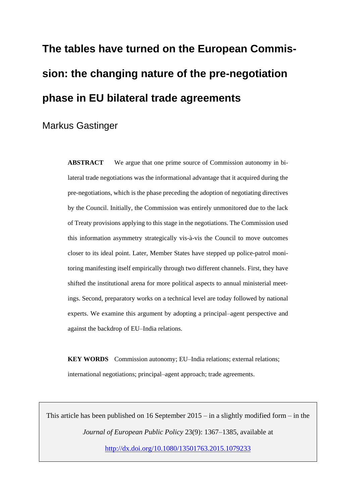# **The tables have turned on the European Commission: the changing nature of the pre-negotiation phase in EU bilateral trade agreements**

Markus Gastinger

**ABSTRACT** We argue that one prime source of Commission autonomy in bilateral trade negotiations was the informational advantage that it acquired during the pre-negotiations, which is the phase preceding the adoption of negotiating directives by the Council. Initially, the Commission was entirely unmonitored due to the lack of Treaty provisions applying to this stage in the negotiations. The Commission used this information asymmetry strategically vis-à-vis the Council to move outcomes closer to its ideal point. Later, Member States have stepped up police-patrol monitoring manifesting itself empirically through two different channels. First, they have shifted the institutional arena for more political aspects to annual ministerial meetings. Second, preparatory works on a technical level are today followed by national experts. We examine this argument by adopting a principal–agent perspective and against the backdrop of EU–India relations.

**KEY WORDS** Commission autonomy; EU–India relations; external relations; international negotiations; principal–agent approach; trade agreements.

This article has been published on 16 September  $2015 - in$  a slightly modified form – in the *Journal of European Public Policy* 23(9): 1367–1385, available at <http://dx.doi.org/10.1080/13501763.2015.1079233>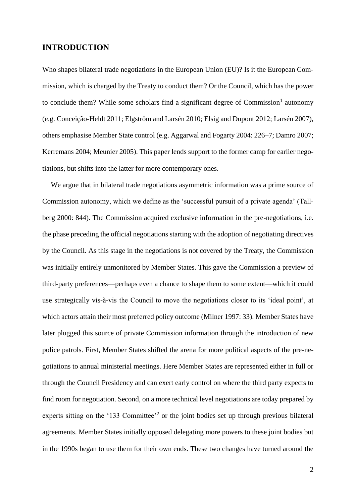# **INTRODUCTION**

Who shapes bilateral trade negotiations in the European Union (EU)? Is it the European Commission, which is charged by the Treaty to conduct them? Or the Council, which has the power to conclude them? While some scholars find a significant degree of Commission<sup>1</sup> autonomy (e.g. Conceição-Heldt 2011; Elgström and Larsén 2010; Elsig and Dupont 2012; Larsén 2007), others emphasise Member State control (e.g. Aggarwal and Fogarty 2004: 226–7; Damro 2007; Kerremans 2004; Meunier 2005). This paper lends support to the former camp for earlier negotiations, but shifts into the latter for more contemporary ones.

We argue that in bilateral trade negotiations asymmetric information was a prime source of Commission autonomy, which we define as the 'successful pursuit of a private agenda' (Tallberg 2000: 844). The Commission acquired exclusive information in the pre-negotiations, i.e. the phase preceding the official negotiations starting with the adoption of negotiating directives by the Council. As this stage in the negotiations is not covered by the Treaty, the Commission was initially entirely unmonitored by Member States. This gave the Commission a preview of third-party preferences—perhaps even a chance to shape them to some extent—which it could use strategically vis-à-vis the Council to move the negotiations closer to its 'ideal point', at which actors attain their most preferred policy outcome (Milner 1997: 33). Member States have later plugged this source of private Commission information through the introduction of new police patrols. First, Member States shifted the arena for more political aspects of the pre-negotiations to annual ministerial meetings. Here Member States are represented either in full or through the Council Presidency and can exert early control on where the third party expects to find room for negotiation. Second, on a more technical level negotiations are today prepared by experts sitting on the '133 Committee'<sup>2</sup> or the joint bodies set up through previous bilateral agreements. Member States initially opposed delegating more powers to these joint bodies but in the 1990s began to use them for their own ends. These two changes have turned around the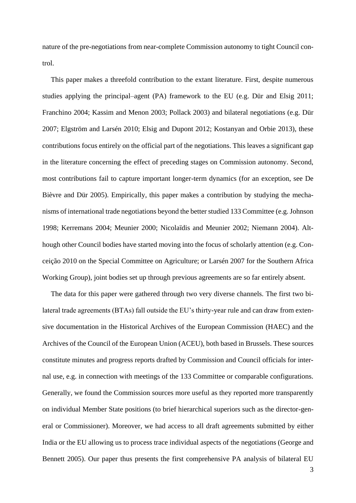nature of the pre-negotiations from near-complete Commission autonomy to tight Council control.

This paper makes a threefold contribution to the extant literature. First, despite numerous studies applying the principal–agent (PA) framework to the EU (e.g. Dür and Elsig 2011; Franchino 2004; Kassim and Menon 2003; Pollack 2003) and bilateral negotiations (e.g. Dür 2007; Elgström and Larsén 2010; Elsig and Dupont 2012; Kostanyan and Orbie 2013), these contributions focus entirely on the official part of the negotiations. This leaves a significant gap in the literature concerning the effect of preceding stages on Commission autonomy. Second, most contributions fail to capture important longer-term dynamics (for an exception, see De Bièvre and Dür 2005). Empirically, this paper makes a contribution by studying the mechanisms of international trade negotiations beyond the better studied 133 Committee (e.g. Johnson 1998; Kerremans 2004; Meunier 2000; Nicolaïdis and Meunier 2002; Niemann 2004). Although other Council bodies have started moving into the focus of scholarly attention (e.g. Conceição 2010 on the Special Committee on Agriculture; or Larsén 2007 for the Southern Africa Working Group), joint bodies set up through previous agreements are so far entirely absent.

The data for this paper were gathered through two very diverse channels. The first two bilateral trade agreements (BTAs) fall outside the EU's thirty-year rule and can draw from extensive documentation in the Historical Archives of the European Commission (HAEC) and the Archives of the Council of the European Union (ACEU), both based in Brussels. These sources constitute minutes and progress reports drafted by Commission and Council officials for internal use, e.g. in connection with meetings of the 133 Committee or comparable configurations. Generally, we found the Commission sources more useful as they reported more transparently on individual Member State positions (to brief hierarchical superiors such as the director-general or Commissioner). Moreover, we had access to all draft agreements submitted by either India or the EU allowing us to process trace individual aspects of the negotiations (George and Bennett 2005). Our paper thus presents the first comprehensive PA analysis of bilateral EU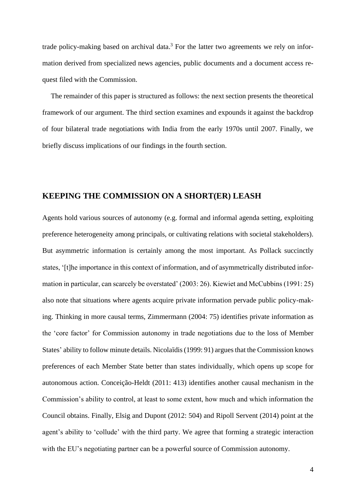trade policy-making based on archival data.<sup>3</sup> For the latter two agreements we rely on information derived from specialized news agencies, public documents and a document access request filed with the Commission.

The remainder of this paper is structured as follows: the next section presents the theoretical framework of our argument. The third section examines and expounds it against the backdrop of four bilateral trade negotiations with India from the early 1970s until 2007. Finally, we briefly discuss implications of our findings in the fourth section.

# **KEEPING THE COMMISSION ON A SHORT(ER) LEASH**

Agents hold various sources of autonomy (e.g. formal and informal agenda setting, exploiting preference heterogeneity among principals, or cultivating relations with societal stakeholders). But asymmetric information is certainly among the most important. As Pollack succinctly states, '[t]he importance in this context of information, and of asymmetrically distributed information in particular, can scarcely be overstated' (2003: 26). Kiewiet and McCubbins (1991: 25) also note that situations where agents acquire private information pervade public policy-making. Thinking in more causal terms, Zimmermann (2004: 75) identifies private information as the 'core factor' for Commission autonomy in trade negotiations due to the loss of Member States' ability to follow minute details. Nicolaïdis (1999: 91) argues that the Commission knows preferences of each Member State better than states individually, which opens up scope for autonomous action. Conceição-Heldt (2011: 413) identifies another causal mechanism in the Commission's ability to control, at least to some extent, how much and which information the Council obtains. Finally, Elsig and Dupont (2012: 504) and Ripoll Servent (2014) point at the agent's ability to 'collude' with the third party. We agree that forming a strategic interaction with the EU's negotiating partner can be a powerful source of Commission autonomy.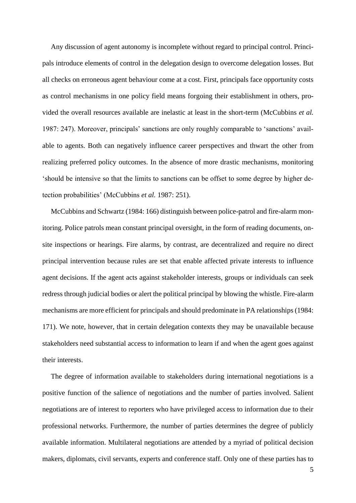Any discussion of agent autonomy is incomplete without regard to principal control. Principals introduce elements of control in the delegation design to overcome delegation losses. But all checks on erroneous agent behaviour come at a cost. First, principals face opportunity costs as control mechanisms in one policy field means forgoing their establishment in others, provided the overall resources available are inelastic at least in the short-term (McCubbins *et al.* 1987: 247). Moreover, principals' sanctions are only roughly comparable to 'sanctions' available to agents. Both can negatively influence career perspectives and thwart the other from realizing preferred policy outcomes. In the absence of more drastic mechanisms, monitoring 'should be intensive so that the limits to sanctions can be offset to some degree by higher detection probabilities' (McCubbins *et al.* 1987: 251).

McCubbins and Schwartz (1984: 166) distinguish between police-patrol and fire-alarm monitoring. Police patrols mean constant principal oversight, in the form of reading documents, onsite inspections or hearings. Fire alarms*,* by contrast, are decentralized and require no direct principal intervention because rules are set that enable affected private interests to influence agent decisions. If the agent acts against stakeholder interests, groups or individuals can seek redress through judicial bodies or alert the political principal by blowing the whistle. Fire-alarm mechanisms are more efficient for principals and should predominate in PA relationships (1984: 171). We note, however, that in certain delegation contexts they may be unavailable because stakeholders need substantial access to information to learn if and when the agent goes against their interests.

The degree of information available to stakeholders during international negotiations is a positive function of the salience of negotiations and the number of parties involved. Salient negotiations are of interest to reporters who have privileged access to information due to their professional networks. Furthermore, the number of parties determines the degree of publicly available information. Multilateral negotiations are attended by a myriad of political decision makers, diplomats, civil servants, experts and conference staff. Only one of these parties has to

5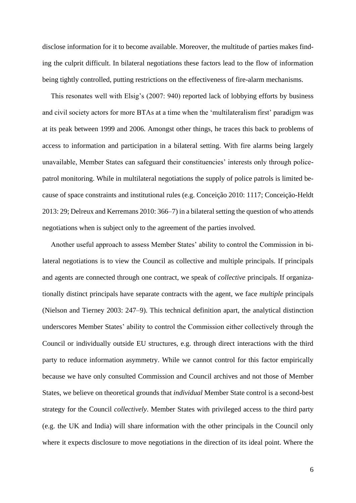disclose information for it to become available. Moreover, the multitude of parties makes finding the culprit difficult. In bilateral negotiations these factors lead to the flow of information being tightly controlled, putting restrictions on the effectiveness of fire-alarm mechanisms.

This resonates well with Elsig's (2007: 940) reported lack of lobbying efforts by business and civil society actors for more BTAs at a time when the 'multilateralism first' paradigm was at its peak between 1999 and 2006. Amongst other things, he traces this back to problems of access to information and participation in a bilateral setting. With fire alarms being largely unavailable, Member States can safeguard their constituencies' interests only through policepatrol monitoring. While in multilateral negotiations the supply of police patrols is limited because of space constraints and institutional rules (e.g. Conceição 2010: 1117; Conceição-Heldt 2013: 29; Delreux and Kerremans 2010: 366–7) in a bilateral setting the question of who attends negotiations when is subject only to the agreement of the parties involved.

Another useful approach to assess Member States' ability to control the Commission in bilateral negotiations is to view the Council as collective and multiple principals. If principals and agents are connected through one contract, we speak of *collective* principals. If organizationally distinct principals have separate contracts with the agent, we face *multiple* principals (Nielson and Tierney 2003: 247–9). This technical definition apart, the analytical distinction underscores Member States' ability to control the Commission either collectively through the Council or individually outside EU structures, e.g. through direct interactions with the third party to reduce information asymmetry. While we cannot control for this factor empirically because we have only consulted Commission and Council archives and not those of Member States, we believe on theoretical grounds that *individual* Member State control is a second-best strategy for the Council *collectively*. Member States with privileged access to the third party (e.g. the UK and India) will share information with the other principals in the Council only where it expects disclosure to move negotiations in the direction of its ideal point. Where the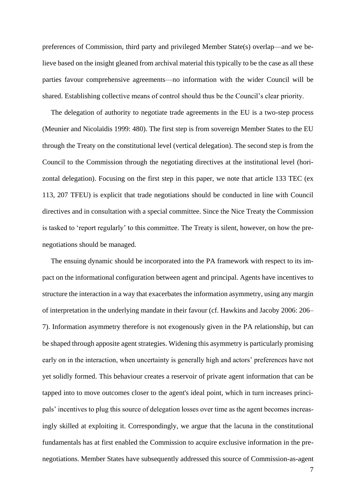preferences of Commission, third party and privileged Member State(s) overlap—and we believe based on the insight gleaned from archival material this typically to be the case as all these parties favour comprehensive agreements—no information with the wider Council will be shared. Establishing collective means of control should thus be the Council's clear priority.

The delegation of authority to negotiate trade agreements in the EU is a two-step process (Meunier and Nicolaïdis 1999: 480). The first step is from sovereign Member States to the EU through the Treaty on the constitutional level (vertical delegation). The second step is from the Council to the Commission through the negotiating directives at the institutional level (horizontal delegation). Focusing on the first step in this paper, we note that article 133 TEC (ex 113, 207 TFEU) is explicit that trade negotiations should be conducted in line with Council directives and in consultation with a special committee. Since the Nice Treaty the Commission is tasked to 'report regularly' to this committee. The Treaty is silent, however, on how the prenegotiations should be managed.

The ensuing dynamic should be incorporated into the PA framework with respect to its impact on the informational configuration between agent and principal. Agents have incentives to structure the interaction in a way that exacerbates the information asymmetry, using any margin of interpretation in the underlying mandate in their favour (cf. Hawkins and Jacoby 2006: 206– 7). Information asymmetry therefore is not exogenously given in the PA relationship, but can be shaped through apposite agent strategies. Widening this asymmetry is particularly promising early on in the interaction, when uncertainty is generally high and actors' preferences have not yet solidly formed. This behaviour creates a reservoir of private agent information that can be tapped into to move outcomes closer to the agent's ideal point, which in turn increases principals' incentives to plug this source of delegation losses over time as the agent becomes increasingly skilled at exploiting it. Correspondingly, we argue that the lacuna in the constitutional fundamentals has at first enabled the Commission to acquire exclusive information in the prenegotiations. Member States have subsequently addressed this source of Commission-as-agent

7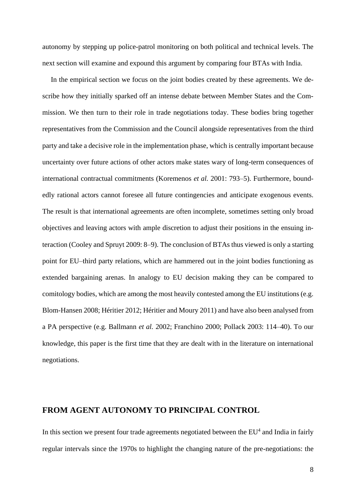autonomy by stepping up police-patrol monitoring on both political and technical levels. The next section will examine and expound this argument by comparing four BTAs with India.

In the empirical section we focus on the joint bodies created by these agreements. We describe how they initially sparked off an intense debate between Member States and the Commission. We then turn to their role in trade negotiations today. These bodies bring together representatives from the Commission and the Council alongside representatives from the third party and take a decisive role in the implementation phase, which is centrally important because uncertainty over future actions of other actors make states wary of long-term consequences of international contractual commitments (Koremenos *et al.* 2001: 793–5). Furthermore, boundedly rational actors cannot foresee all future contingencies and anticipate exogenous events. The result is that international agreements are often incomplete, sometimes setting only broad objectives and leaving actors with ample discretion to adjust their positions in the ensuing interaction (Cooley and Spruyt 2009: 8–9). The conclusion of BTAs thus viewed is only a starting point for EU–third party relations, which are hammered out in the joint bodies functioning as extended bargaining arenas. In analogy to EU decision making they can be compared to comitology bodies, which are among the most heavily contested among the EU institutions (e.g. Blom-Hansen 2008; Héritier 2012; Héritier and Moury 2011) and have also been analysed from a PA perspective (e.g. Ballmann *et al.* 2002; Franchino 2000; Pollack 2003: 114–40). To our knowledge, this paper is the first time that they are dealt with in the literature on international negotiations.

# **FROM AGENT AUTONOMY TO PRINCIPAL CONTROL**

In this section we present four trade agreements negotiated between the  $EU^4$  and India in fairly regular intervals since the 1970s to highlight the changing nature of the pre-negotiations: the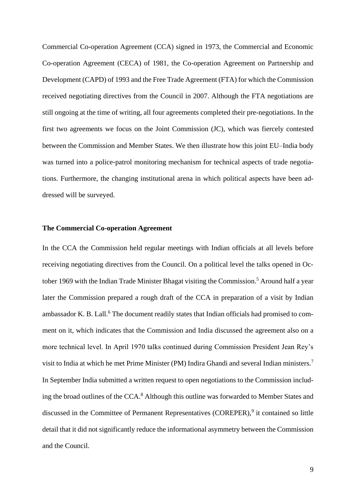Commercial Co-operation Agreement (CCA) signed in 1973, the Commercial and Economic Co-operation Agreement (CECA) of 1981, the Co-operation Agreement on Partnership and Development (CAPD) of 1993 and the Free Trade Agreement (FTA) for which the Commission received negotiating directives from the Council in 2007. Although the FTA negotiations are still ongoing at the time of writing, all four agreements completed their pre-negotiations. In the first two agreements we focus on the Joint Commission (JC), which was fiercely contested between the Commission and Member States. We then illustrate how this joint EU–India body was turned into a police-patrol monitoring mechanism for technical aspects of trade negotiations. Furthermore, the changing institutional arena in which political aspects have been addressed will be surveyed.

#### **The Commercial Co-operation Agreement**

In the CCA the Commission held regular meetings with Indian officials at all levels before receiving negotiating directives from the Council. On a political level the talks opened in October 1969 with the Indian Trade Minister Bhagat visiting the Commission.<sup>5</sup> Around half a year later the Commission prepared a rough draft of the CCA in preparation of a visit by Indian ambassador K. B. Lall.<sup>6</sup> The document readily states that Indian officials had promised to comment on it, which indicates that the Commission and India discussed the agreement also on a more technical level. In April 1970 talks continued during Commission President Jean Rey's visit to India at which he met Prime Minister (PM) Indira Ghandi and several Indian ministers.<sup>7</sup> In September India submitted a written request to open negotiations to the Commission including the broad outlines of the CCA.<sup>8</sup> Although this outline was forwarded to Member States and discussed in the Committee of Permanent Representatives (COREPER),<sup>9</sup> it contained so little detail that it did not significantly reduce the informational asymmetry between the Commission and the Council.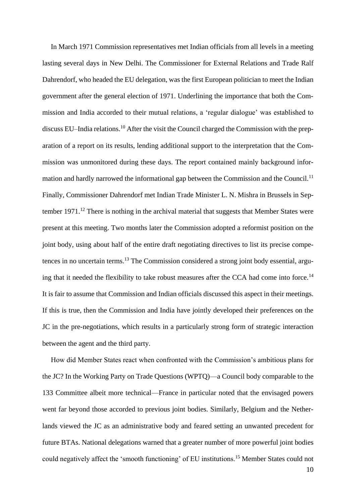In March 1971 Commission representatives met Indian officials from all levels in a meeting lasting several days in New Delhi. The Commissioner for External Relations and Trade Ralf Dahrendorf, who headed the EU delegation, was the first European politician to meet the Indian government after the general election of 1971. Underlining the importance that both the Commission and India accorded to their mutual relations, a 'regular dialogue' was established to discuss EU–India relations.<sup>10</sup> After the visit the Council charged the Commission with the preparation of a report on its results, lending additional support to the interpretation that the Commission was unmonitored during these days. The report contained mainly background information and hardly narrowed the informational gap between the Commission and the Council.<sup>11</sup> Finally, Commissioner Dahrendorf met Indian Trade Minister L. N. Mishra in Brussels in September 1971.<sup>12</sup> There is nothing in the archival material that suggests that Member States were present at this meeting. Two months later the Commission adopted a reformist position on the joint body, using about half of the entire draft negotiating directives to list its precise competences in no uncertain terms.<sup>13</sup> The Commission considered a strong joint body essential, arguing that it needed the flexibility to take robust measures after the CCA had come into force.<sup>14</sup> It is fair to assume that Commission and Indian officials discussed this aspect in their meetings. If this is true, then the Commission and India have jointly developed their preferences on the JC in the pre-negotiations, which results in a particularly strong form of strategic interaction between the agent and the third party.

How did Member States react when confronted with the Commission's ambitious plans for the JC? In the Working Party on Trade Questions (WPTQ)—a Council body comparable to the 133 Committee albeit more technical—France in particular noted that the envisaged powers went far beyond those accorded to previous joint bodies. Similarly, Belgium and the Netherlands viewed the JC as an administrative body and feared setting an unwanted precedent for future BTAs. National delegations warned that a greater number of more powerful joint bodies could negatively affect the 'smooth functioning' of EU institutions.<sup>15</sup> Member States could not

10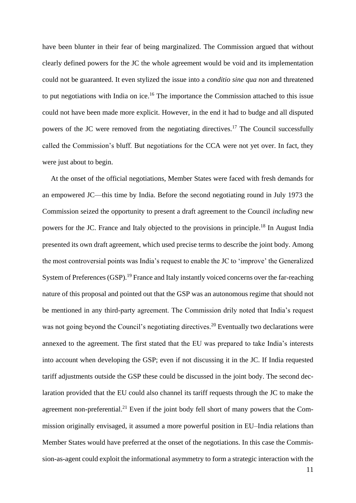have been blunter in their fear of being marginalized. The Commission argued that without clearly defined powers for the JC the whole agreement would be void and its implementation could not be guaranteed. It even stylized the issue into a *conditio sine qua non* and threatened to put negotiations with India on ice.<sup>16</sup> The importance the Commission attached to this issue could not have been made more explicit. However, in the end it had to budge and all disputed powers of the JC were removed from the negotiating directives.<sup>17</sup> The Council successfully called the Commission's bluff. But negotiations for the CCA were not yet over. In fact, they were just about to begin.

At the onset of the official negotiations, Member States were faced with fresh demands for an empowered JC—this time by India. Before the second negotiating round in July 1973 the Commission seized the opportunity to present a draft agreement to the Council *including* new powers for the JC. France and Italy objected to the provisions in principle.<sup>18</sup> In August India presented its own draft agreement, which used precise terms to describe the joint body. Among the most controversial points was India's request to enable the JC to 'improve' the Generalized System of Preferences (GSP).<sup>19</sup> France and Italy instantly voiced concerns over the far-reaching nature of this proposal and pointed out that the GSP was an autonomous regime that should not be mentioned in any third-party agreement. The Commission drily noted that India's request was not going beyond the Council's negotiating directives.<sup>20</sup> Eventually two declarations were annexed to the agreement. The first stated that the EU was prepared to take India's interests into account when developing the GSP; even if not discussing it in the JC. If India requested tariff adjustments outside the GSP these could be discussed in the joint body. The second declaration provided that the EU could also channel its tariff requests through the JC to make the agreement non-preferential.<sup>21</sup> Even if the joint body fell short of many powers that the Commission originally envisaged, it assumed a more powerful position in EU–India relations than Member States would have preferred at the onset of the negotiations. In this case the Commission-as-agent could exploit the informational asymmetry to form a strategic interaction with the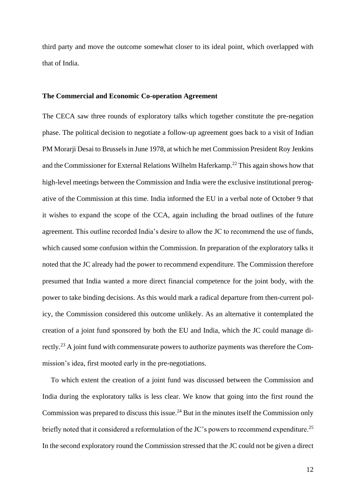third party and move the outcome somewhat closer to its ideal point, which overlapped with that of India.

#### **The Commercial and Economic Co-operation Agreement**

The CECA saw three rounds of exploratory talks which together constitute the pre-negation phase. The political decision to negotiate a follow-up agreement goes back to a visit of Indian PM Morarji Desai to Brussels in June 1978, at which he met Commission President Roy Jenkins and the Commissioner for External Relations Wilhelm Haferkamp.<sup>22</sup> This again shows how that high-level meetings between the Commission and India were the exclusive institutional prerogative of the Commission at this time. India informed the EU in a verbal note of October 9 that it wishes to expand the scope of the CCA, again including the broad outlines of the future agreement. This outline recorded India's desire to allow the JC to recommend the use of funds, which caused some confusion within the Commission. In preparation of the exploratory talks it noted that the JC already had the power to recommend expenditure. The Commission therefore presumed that India wanted a more direct financial competence for the joint body, with the power to take binding decisions. As this would mark a radical departure from then-current policy, the Commission considered this outcome unlikely. As an alternative it contemplated the creation of a joint fund sponsored by both the EU and India, which the JC could manage directly.<sup>23</sup> A joint fund with commensurate powers to authorize payments was therefore the Commission's idea, first mooted early in the pre-negotiations.

To which extent the creation of a joint fund was discussed between the Commission and India during the exploratory talks is less clear. We know that going into the first round the Commission was prepared to discuss this issue.<sup>24</sup> But in the minutes itself the Commission only briefly noted that it considered a reformulation of the JC's powers to recommend expenditure.<sup>25</sup> In the second exploratory round the Commission stressed that the JC could not be given a direct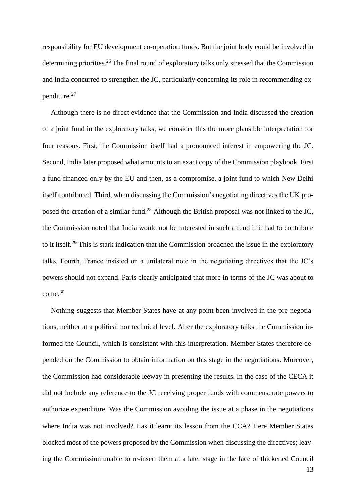responsibility for EU development co-operation funds. But the joint body could be involved in determining priorities.<sup>26</sup> The final round of exploratory talks only stressed that the Commission and India concurred to strengthen the JC, particularly concerning its role in recommending expenditure.<sup>27</sup>

Although there is no direct evidence that the Commission and India discussed the creation of a joint fund in the exploratory talks, we consider this the more plausible interpretation for four reasons. First, the Commission itself had a pronounced interest in empowering the JC. Second, India later proposed what amounts to an exact copy of the Commission playbook. First a fund financed only by the EU and then, as a compromise, a joint fund to which New Delhi itself contributed. Third, when discussing the Commission's negotiating directives the UK proposed the creation of a similar fund.<sup>28</sup> Although the British proposal was not linked to the JC, the Commission noted that India would not be interested in such a fund if it had to contribute to it itself.<sup>29</sup> This is stark indication that the Commission broached the issue in the exploratory talks. Fourth, France insisted on a unilateral note in the negotiating directives that the JC's powers should not expand. Paris clearly anticipated that more in terms of the JC was about to come.<sup>30</sup>

Nothing suggests that Member States have at any point been involved in the pre-negotiations, neither at a political nor technical level. After the exploratory talks the Commission informed the Council, which is consistent with this interpretation. Member States therefore depended on the Commission to obtain information on this stage in the negotiations. Moreover, the Commission had considerable leeway in presenting the results. In the case of the CECA it did not include any reference to the JC receiving proper funds with commensurate powers to authorize expenditure. Was the Commission avoiding the issue at a phase in the negotiations where India was not involved? Has it learnt its lesson from the CCA? Here Member States blocked most of the powers proposed by the Commission when discussing the directives; leaving the Commission unable to re-insert them at a later stage in the face of thickened Council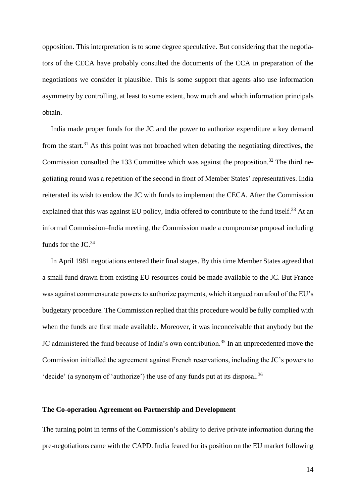opposition. This interpretation is to some degree speculative. But considering that the negotiators of the CECA have probably consulted the documents of the CCA in preparation of the negotiations we consider it plausible. This is some support that agents also use information asymmetry by controlling, at least to some extent, how much and which information principals obtain.

India made proper funds for the JC and the power to authorize expenditure a key demand from the start.<sup>31</sup> As this point was not broached when debating the negotiating directives, the Commission consulted the 133 Committee which was against the proposition.<sup>32</sup> The third negotiating round was a repetition of the second in front of Member States' representatives. India reiterated its wish to endow the JC with funds to implement the CECA. After the Commission explained that this was against EU policy, India offered to contribute to the fund itself.<sup>33</sup> At an informal Commission–India meeting, the Commission made a compromise proposal including funds for the JC.<sup>34</sup>

In April 1981 negotiations entered their final stages. By this time Member States agreed that a small fund drawn from existing EU resources could be made available to the JC. But France was against commensurate powers to authorize payments, which it argued ran afoul of the EU's budgetary procedure. The Commission replied that this procedure would be fully complied with when the funds are first made available. Moreover, it was inconceivable that anybody but the JC administered the fund because of India's own contribution.<sup>35</sup> In an unprecedented move the Commission initialled the agreement against French reservations, including the JC's powers to 'decide' (a synonym of 'authorize') the use of any funds put at its disposal.<sup>36</sup>

#### **The Co-operation Agreement on Partnership and Development**

The turning point in terms of the Commission's ability to derive private information during the pre-negotiations came with the CAPD. India feared for its position on the EU market following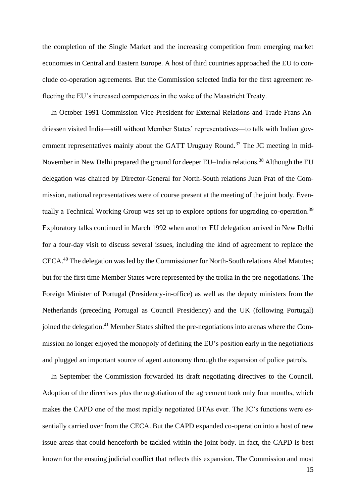the completion of the Single Market and the increasing competition from emerging market economies in Central and Eastern Europe. A host of third countries approached the EU to conclude co-operation agreements. But the Commission selected India for the first agreement reflecting the EU's increased competences in the wake of the Maastricht Treaty.

In October 1991 Commission Vice-President for External Relations and Trade Frans Andriessen visited India—still without Member States' representatives—to talk with Indian government representatives mainly about the GATT Uruguay Round.<sup>37</sup> The JC meeting in mid-November in New Delhi prepared the ground for deeper EU–India relations.<sup>38</sup> Although the EU delegation was chaired by Director-General for North-South relations Juan Prat of the Commission, national representatives were of course present at the meeting of the joint body. Eventually a Technical Working Group was set up to explore options for upgrading co-operation.<sup>39</sup> Exploratory talks continued in March 1992 when another EU delegation arrived in New Delhi for a four-day visit to discuss several issues, including the kind of agreement to replace the CECA.<sup>40</sup> The delegation was led by the Commissioner for North-South relations Abel Matutes; but for the first time Member States were represented by the troika in the pre-negotiations. The Foreign Minister of Portugal (Presidency-in-office) as well as the deputy ministers from the Netherlands (preceding Portugal as Council Presidency) and the UK (following Portugal) joined the delegation.<sup>41</sup> Member States shifted the pre-negotiations into arenas where the Commission no longer enjoyed the monopoly of defining the EU's position early in the negotiations and plugged an important source of agent autonomy through the expansion of police patrols.

In September the Commission forwarded its draft negotiating directives to the Council. Adoption of the directives plus the negotiation of the agreement took only four months, which makes the CAPD one of the most rapidly negotiated BTAs ever. The JC's functions were essentially carried over from the CECA. But the CAPD expanded co-operation into a host of new issue areas that could henceforth be tackled within the joint body. In fact, the CAPD is best known for the ensuing judicial conflict that reflects this expansion. The Commission and most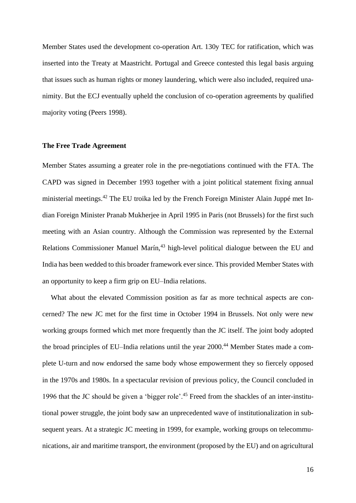Member States used the development co-operation Art. 130y TEC for ratification, which was inserted into the Treaty at Maastricht. Portugal and Greece contested this legal basis arguing that issues such as human rights or money laundering, which were also included, required unanimity. But the ECJ eventually upheld the conclusion of co-operation agreements by qualified majority voting (Peers 1998).

#### **The Free Trade Agreement**

Member States assuming a greater role in the pre-negotiations continued with the FTA. The CAPD was signed in December 1993 together with a joint political statement fixing annual ministerial meetings.<sup>42</sup> The EU troika led by the French Foreign Minister Alain Juppé met Indian Foreign Minister Pranab Mukherjee in April 1995 in Paris (not Brussels) for the first such meeting with an Asian country. Although the Commission was represented by the External Relations Commissioner Manuel Marín,<sup>43</sup> high-level political dialogue between the EU and India has been wedded to this broader framework ever since. This provided Member States with an opportunity to keep a firm grip on EU–India relations.

What about the elevated Commission position as far as more technical aspects are concerned? The new JC met for the first time in October 1994 in Brussels. Not only were new working groups formed which met more frequently than the JC itself. The joint body adopted the broad principles of EU–India relations until the year 2000.<sup>44</sup> Member States made a complete U-turn and now endorsed the same body whose empowerment they so fiercely opposed in the 1970s and 1980s. In a spectacular revision of previous policy, the Council concluded in 1996 that the JC should be given a 'bigger role'.<sup>45</sup> Freed from the shackles of an inter-institutional power struggle, the joint body saw an unprecedented wave of institutionalization in subsequent years. At a strategic JC meeting in 1999, for example, working groups on telecommunications, air and maritime transport, the environment (proposed by the EU) and on agricultural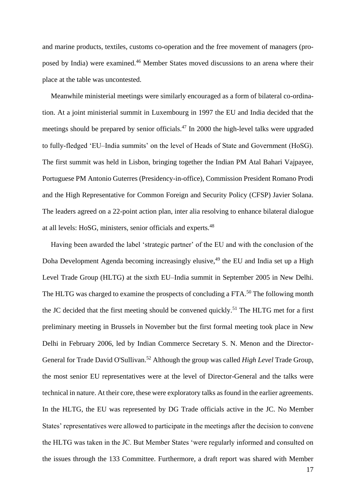and marine products, textiles, customs co-operation and the free movement of managers (proposed by India) were examined.<sup>46</sup> Member States moved discussions to an arena where their place at the table was uncontested.

Meanwhile ministerial meetings were similarly encouraged as a form of bilateral co-ordination. At a joint ministerial summit in Luxembourg in 1997 the EU and India decided that the meetings should be prepared by senior officials.<sup>47</sup> In 2000 the high-level talks were upgraded to fully-fledged 'EU–India summits' on the level of Heads of State and Government (HoSG). The first summit was held in Lisbon, bringing together the Indian PM Atal Bahari Vajpayee, Portuguese PM Antonio Guterres (Presidency-in-office), Commission President Romano Prodi and the High Representative for Common Foreign and Security Policy (CFSP) Javier Solana. The leaders agreed on a 22-point action plan, inter alia resolving to enhance bilateral dialogue at all levels: HoSG, ministers, senior officials and experts.<sup>48</sup>

Having been awarded the label 'strategic partner' of the EU and with the conclusion of the Doha Development Agenda becoming increasingly elusive, <sup>49</sup> the EU and India set up a High Level Trade Group (HLTG) at the sixth EU–India summit in September 2005 in New Delhi. The HLTG was charged to examine the prospects of concluding a FTA.<sup>50</sup> The following month the JC decided that the first meeting should be convened quickly.<sup>51</sup> The HLTG met for a first preliminary meeting in Brussels in November but the first formal meeting took place in New Delhi in February 2006, led by Indian Commerce Secretary S. N. Menon and the Director-General for Trade David O'Sullivan.<sup>52</sup> Although the group was called *High Level* Trade Group, the most senior EU representatives were at the level of Director-General and the talks were technical in nature. At their core, these were exploratory talks as found in the earlier agreements. In the HLTG, the EU was represented by DG Trade officials active in the JC. No Member States' representatives were allowed to participate in the meetings after the decision to convene the HLTG was taken in the JC. But Member States 'were regularly informed and consulted on the issues through the 133 Committee. Furthermore, a draft report was shared with Member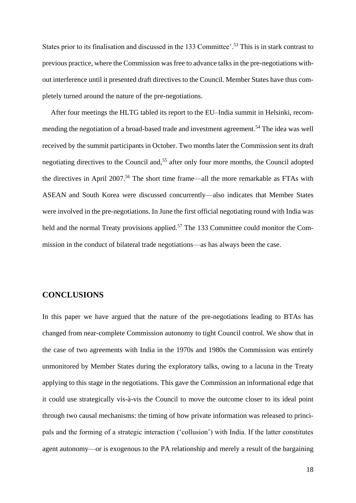States prior to its finalisation and discussed in the 133 Committee'.<sup>53</sup> This is in stark contrast to previous practice, where the Commission was free to advance talks in the pre-negotiations without interference until it presented draft directives to the Council. Member States have thus completely turned around the nature of the pre-negotiations.

After four meetings the HLTG tabled its report to the EU–India summit in Helsinki, recommending the negotiation of a broad-based trade and investment agreement.<sup>54</sup> The idea was well received by the summit participants in October. Two months later the Commission sent its draft negotiating directives to the Council and,<sup>55</sup> after only four more months, the Council adopted the directives in April 2007.<sup>56</sup> The short time frame—all the more remarkable as FTAs with ASEAN and South Korea were discussed concurrently—also indicates that Member States were involved in the pre-negotiations. In June the first official negotiating round with India was held and the normal Treaty provisions applied.<sup>57</sup> The 133 Committee could monitor the Commission in the conduct of bilateral trade negotiations—as has always been the case.

# **CONCLUSIONS**

In this paper we have argued that the nature of the pre-negotiations leading to BTAs has changed from near-complete Commission autonomy to tight Council control. We show that in the case of two agreements with India in the 1970s and 1980s the Commission was entirely unmonitored by Member States during the exploratory talks, owing to a lacuna in the Treaty applying to this stage in the negotiations. This gave the Commission an informational edge that it could use strategically vis-à-vis the Council to move the outcome closer to its ideal point through two causal mechanisms: the timing of how private information was released to principals and the forming of a strategic interaction ('collusion') with India. If the latter constitutes agent autonomy—or is exogenous to the PA relationship and merely a result of the bargaining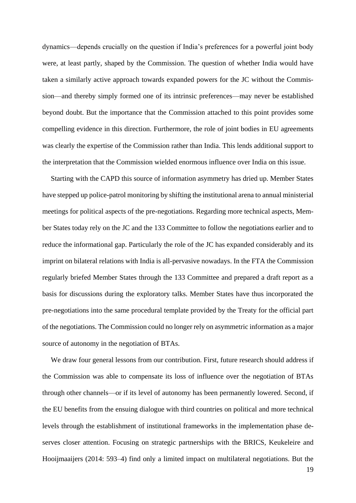dynamics—depends crucially on the question if India's preferences for a powerful joint body were, at least partly, shaped by the Commission. The question of whether India would have taken a similarly active approach towards expanded powers for the JC without the Commission—and thereby simply formed one of its intrinsic preferences—may never be established beyond doubt. But the importance that the Commission attached to this point provides some compelling evidence in this direction. Furthermore, the role of joint bodies in EU agreements was clearly the expertise of the Commission rather than India. This lends additional support to the interpretation that the Commission wielded enormous influence over India on this issue.

Starting with the CAPD this source of information asymmetry has dried up. Member States have stepped up police-patrol monitoring by shifting the institutional arena to annual ministerial meetings for political aspects of the pre-negotiations. Regarding more technical aspects, Member States today rely on the JC and the 133 Committee to follow the negotiations earlier and to reduce the informational gap. Particularly the role of the JC has expanded considerably and its imprint on bilateral relations with India is all-pervasive nowadays. In the FTA the Commission regularly briefed Member States through the 133 Committee and prepared a draft report as a basis for discussions during the exploratory talks. Member States have thus incorporated the pre-negotiations into the same procedural template provided by the Treaty for the official part of the negotiations. The Commission could no longer rely on asymmetric information as a major source of autonomy in the negotiation of BTAs.

We draw four general lessons from our contribution. First, future research should address if the Commission was able to compensate its loss of influence over the negotiation of BTAs through other channels—or if its level of autonomy has been permanently lowered. Second, if the EU benefits from the ensuing dialogue with third countries on political and more technical levels through the establishment of institutional frameworks in the implementation phase deserves closer attention. Focusing on strategic partnerships with the BRICS, Keukeleire and Hooijmaaijers (2014: 593–4) find only a limited impact on multilateral negotiations. But the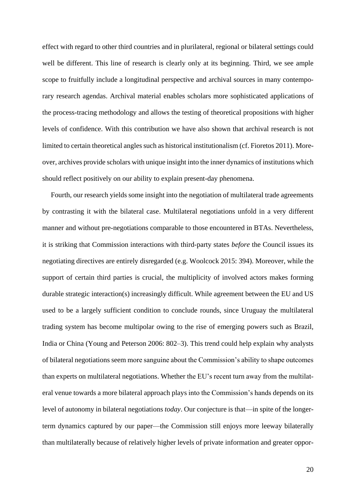effect with regard to other third countries and in plurilateral, regional or bilateral settings could well be different. This line of research is clearly only at its beginning. Third, we see ample scope to fruitfully include a longitudinal perspective and archival sources in many contemporary research agendas. Archival material enables scholars more sophisticated applications of the process-tracing methodology and allows the testing of theoretical propositions with higher levels of confidence. With this contribution we have also shown that archival research is not limited to certain theoretical angles such as historical institutionalism (cf. Fioretos 2011). Moreover, archives provide scholars with unique insight into the inner dynamics of institutions which should reflect positively on our ability to explain present-day phenomena.

Fourth, our research yields some insight into the negotiation of multilateral trade agreements by contrasting it with the bilateral case. Multilateral negotiations unfold in a very different manner and without pre-negotiations comparable to those encountered in BTAs. Nevertheless, it is striking that Commission interactions with third-party states *before* the Council issues its negotiating directives are entirely disregarded (e.g. Woolcock 2015: 394). Moreover, while the support of certain third parties is crucial, the multiplicity of involved actors makes forming durable strategic interaction(s) increasingly difficult. While agreement between the EU and US used to be a largely sufficient condition to conclude rounds, since Uruguay the multilateral trading system has become multipolar owing to the rise of emerging powers such as Brazil, India or China (Young and Peterson 2006: 802–3). This trend could help explain why analysts of bilateral negotiations seem more sanguine about the Commission's ability to shape outcomes than experts on multilateral negotiations. Whether the EU's recent turn away from the multilateral venue towards a more bilateral approach plays into the Commission's hands depends on its level of autonomy in bilateral negotiations *today*. Our conjecture is that—in spite of the longerterm dynamics captured by our paper—the Commission still enjoys more leeway bilaterally than multilaterally because of relatively higher levels of private information and greater oppor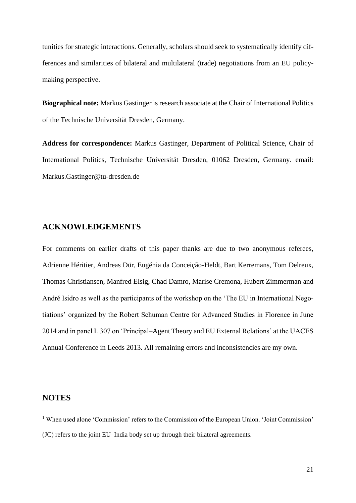tunities for strategic interactions. Generally, scholars should seek to systematically identify differences and similarities of bilateral and multilateral (trade) negotiations from an EU policymaking perspective.

**Biographical note:** Markus Gastinger is research associate at the Chair of International Politics of the Technische Universität Dresden, Germany.

**Address for correspondence:** Markus Gastinger, Department of Political Science, Chair of International Politics, Technische Universität Dresden, 01062 Dresden, Germany. email: Markus.Gastinger@tu-dresden.de

## **ACKNOWLEDGEMENTS**

For comments on earlier drafts of this paper thanks are due to two anonymous referees, Adrienne Héritier, Andreas Dür, Eugénia da Conceição-Heldt, Bart Kerremans, Tom Delreux, Thomas Christiansen, Manfred Elsig, Chad Damro, Marise Cremona, Hubert Zimmerman and André Isidro as well as the participants of the workshop on the 'The EU in International Negotiations' organized by the Robert Schuman Centre for Advanced Studies in Florence in June 2014 and in panel L 307 on 'Principal–Agent Theory and EU External Relations' at the UACES Annual Conference in Leeds 2013. All remaining errors and inconsistencies are my own.

### **NOTES**

<sup>1</sup> When used alone 'Commission' refers to the Commission of the European Union. 'Joint Commission' (JC) refers to the joint EU–India body set up through their bilateral agreements.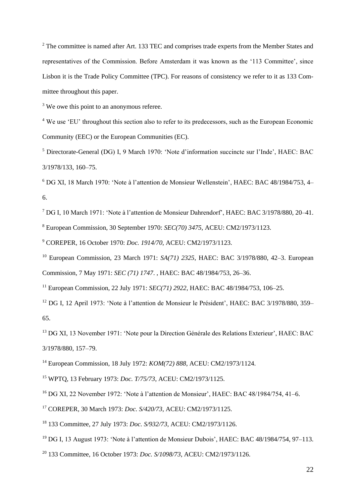<sup>2</sup> The committee is named after Art. 133 TEC and comprises trade experts from the Member States and representatives of the Commission. Before Amsterdam it was known as the '113 Committee', since Lisbon it is the Trade Policy Committee (TPC). For reasons of consistency we refer to it as 133 Committee throughout this paper.

<sup>3</sup> We owe this point to an anonymous referee.

<sup>4</sup> We use 'EU' throughout this section also to refer to its predecessors, such as the European Economic Community (EEC) or the European Communities (EC).

<sup>5</sup> Directorate-General (DG) I, 9 March 1970: 'Note d'information succincte sur l'Inde', HAEC: BAC 3/1978/133, 160–75.

<sup>6</sup> DG XI, 18 March 1970: 'Note à l'attention de Monsieur Wellenstein', HAEC: BAC 48/1984/753, 4– 6.

<sup>7</sup> DG I, 10 March 1971: 'Note à l'attention de Monsieur Dahrendorf', HAEC: BAC 3/1978/880, 20–41.

<sup>8</sup> European Commission, 30 September 1970: *SEC(70) 3475*, ACEU: CM2/1973/1123.

<sup>9</sup> COREPER, 16 October 1970: *Doc. 1914/70*, ACEU: CM2/1973/1123.

<sup>10</sup> European Commission, 23 March 1971: *SA(71) 2325*, HAEC: BAC 3/1978/880, 42–3. European Commission, 7 May 1971: *SEC (71) 1747*. , HAEC: BAC 48/1984/753, 26–36.

<sup>11</sup> European Commission, 22 July 1971: *SEC(71) 2922*, HAEC: BAC 48/1984/753, 106–25.

<sup>12</sup> DG I, 12 April 1973: 'Note à l'attention de Monsieur le Président', HAEC: BAC 3/1978/880, 359– 65.

<sup>13</sup> DG XI, 13 November 1971: 'Note pour la Direction Générale des Relations Exterieur', HAEC: BAC 3/1978/880, 157–79.

<sup>14</sup> European Commission, 18 July 1972: *KOM(72) 888*, ACEU: CM2/1973/1124.

<sup>15</sup> WPTQ, 13 February 1973: *Doc. T/75/73*, ACEU: CM2/1973/1125.

<sup>16</sup> DG XI, 22 November 1972: 'Note à l'attention de Monsieur', HAEC: BAC 48/1984/754, 41–6.

<sup>17</sup> COREPER, 30 March 1973: *Doc. S/420/73*, ACEU: CM2/1973/1125.

<sup>18</sup> 133 Committee, 27 July 1973: *Doc. S/932/73*, ACEU: CM2/1973/1126.

<sup>19</sup> DG I, 13 August 1973: 'Note à l'attention de Monsieur Dubois', HAEC: BAC 48/1984/754, 97–113.

<sup>20</sup> 133 Committee, 16 October 1973: *Doc. S/1098/73*, ACEU: CM2/1973/1126.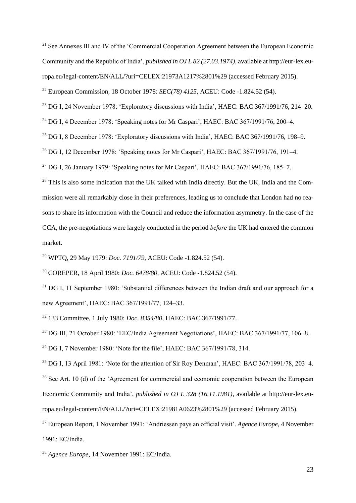<sup>21</sup> See Annexes III and IV of the 'Commercial Cooperation Agreement between the European Economic Community and the Republic of India', *published in OJ L 82 (27.03.1974)*, available at http://eur-lex.europa.eu/legal-content/EN/ALL/?uri=CELEX:21973A1217%2801%29 (accessed February 2015).

<sup>22</sup> European Commission, 18 October 1978: *SEC(78) 4125*, ACEU: Code -1.824.52 (54).

 $23$  DG I, 24 November 1978: 'Exploratory discussions with India', HAEC: BAC 367/1991/76, 214–20.

<sup>24</sup> DG I, 4 December 1978: 'Speaking notes for Mr Caspari', HAEC: BAC 367/1991/76, 200–4.

 $25$  DG I, 8 December 1978: 'Exploratory discussions with India', HAEC: BAC 367/1991/76, 198–9.

<sup>26</sup> DG I, 12 December 1978: 'Speaking notes for Mr Caspari', HAEC: BAC 367/1991/76, 191–4.

<sup>27</sup> DG I, 26 January 1979: 'Speaking notes for Mr Caspari', HAEC: BAC 367/1991/76, 185–7.

<sup>28</sup> This is also some indication that the UK talked with India directly. But the UK, India and the Commission were all remarkably close in their preferences, leading us to conclude that London had no reasons to share its information with the Council and reduce the information asymmetry. In the case of the CCA, the pre-negotiations were largely conducted in the period *before* the UK had entered the common market.

<sup>29</sup> WPTQ, 29 May 1979: *Doc. 7191/79*, ACEU: Code -1.824.52 (54).

<sup>30</sup> COREPER, 18 April 1980: *Doc. 6478/80*, ACEU: Code -1.824.52 (54).

<sup>31</sup> DG I, 11 September 1980: 'Substantial differences between the Indian draft and our approach for a new Agreement', HAEC: BAC 367/1991/77, 124–33.

<sup>32</sup> 133 Committee, 1 July 1980: *Doc. 8354/80*, HAEC: BAC 367/1991/77.

<sup>33</sup> DG III, 21 October 1980: 'EEC/India Agreement Negotiations', HAEC: BAC 367/1991/77, 106–8. <sup>34</sup> DG I, 7 November 1980: 'Note for the file', HAEC: BAC 367/1991/78, 314.

<sup>35</sup> DG I, 13 April 1981: 'Note for the attention of Sir Roy Denman', HAEC: BAC 367/1991/78, 203–4. <sup>36</sup> See Art. 10 (d) of the 'Agreement for commercial and economic cooperation between the European Economic Community and India', *published in OJ L 328 (16.11.1981)*, available at http://eur-lex.europa.eu/legal-content/EN/ALL/?uri=CELEX:21981A0623%2801%29 (accessed February 2015).

<sup>37</sup> European Report, 1 November 1991: 'Andriessen pays an official visit'. *Agence Europe*, 4 November 1991: EC/India.

<sup>38</sup> *Agence Europe*, 14 November 1991: EC/India.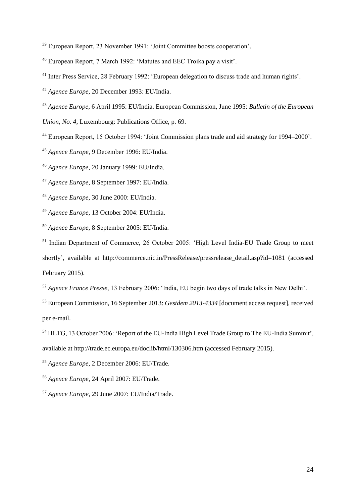European Report, 23 November 1991: 'Joint Committee boosts cooperation'.

European Report, 7 March 1992: 'Matutes and EEC Troika pay a visit'.

<sup>41</sup> Inter Press Service, 28 February 1992: 'European delegation to discuss trade and human rights'.

*Agence Europe*, 20 December 1993: EU/India.

*Agence Europe*, 6 April 1995: EU/India. European Commission, June 1995: *Bulletin of the European* 

*Union, No. 4*, Luxembourg: Publications Office, p. 69.

European Report, 15 October 1994: 'Joint Commission plans trade and aid strategy for 1994–2000'.

*Agence Europe*, 9 December 1996: EU/India.

*Agence Europe*, 20 January 1999: EU/India.

*Agence Europe*, 8 September 1997: EU/India.

*Agence Europe*, 30 June 2000: EU/India.

*Agence Europe*, 13 October 2004: EU/India.

*Agence Europe*, 8 September 2005: EU/India.

<sup>51</sup> Indian Department of Commerce, 26 October 2005: 'High Level India-EU Trade Group to meet shortly', available at http://commerce.nic.in/PressRelease/pressrelease\_detail.asp?id=1081 (accessed February 2015).

*Agence France Presse*, 13 February 2006: 'India, EU begin two days of trade talks in New Delhi'.

 European Commission, 16 September 2013: *Gestdem 2013-4334* [document access request], received per e-mail.

*Agence Europe*, 2 December 2006: EU/Trade.

*Agence Europe*, 24 April 2007: EU/Trade.

*Agence Europe*, 29 June 2007: EU/India/Trade.

<sup>&</sup>lt;sup>54</sup> HLTG, 13 October 2006: 'Report of the EU-India High Level Trade Group to The EU-India Summit', available at http://trade.ec.europa.eu/doclib/html/130306.htm (accessed February 2015).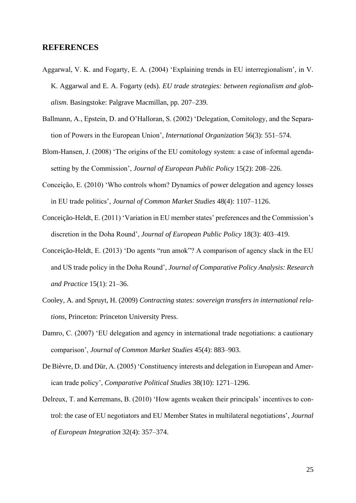#### **REFERENCES**

- Aggarwal, V. K. and Fogarty, E. A. (2004) 'Explaining trends in EU interregionalism', in V. K. Aggarwal and E. A. Fogarty (eds). *EU trade strategies: between regionalism and globalism*. Basingstoke: Palgrave Macmillan, pp. 207–239.
- Ballmann, A., Epstein, D. and O'Halloran, S. (2002) 'Delegation, Comitology, and the Separation of Powers in the European Union', *International Organization* 56(3): 551–574.
- Blom-Hansen, J. (2008) 'The origins of the EU comitology system: a case of informal agendasetting by the Commission', *Journal of European Public Policy* 15(2): 208–226.
- Conceição, E. (2010) 'Who controls whom? Dynamics of power delegation and agency losses in EU trade politics', *Journal of Common Market Studies* 48(4): 1107–1126.
- Conceição-Heldt, E. (2011) 'Variation in EU member states' preferences and the Commission's discretion in the Doha Round', *Journal of European Public Policy* 18(3): 403–419.
- Conceição-Heldt, E. (2013) 'Do agents "run amok"? A comparison of agency slack in the EU and US trade policy in the Doha Round', *Journal of Comparative Policy Analysis: Research and Practice* 15(1): 21–36.
- Cooley, A. and Spruyt, H. (2009) *Contracting states: sovereign transfers in international relations*, Princeton: Princeton University Press.
- Damro, C. (2007) 'EU delegation and agency in international trade negotiations: a cautionary comparison', *Journal of Common Market Studies* 45(4): 883–903.
- De Bièvre, D. and Dür, A. (2005) 'Constituency interests and delegation in European and American trade policy', *Comparative Political Studies* 38(10): 1271–1296.
- Delreux, T. and Kerremans, B. (2010) 'How agents weaken their principals' incentives to control: the case of EU negotiators and EU Member States in multilateral negotiations', *Journal of European Integration* 32(4): 357–374.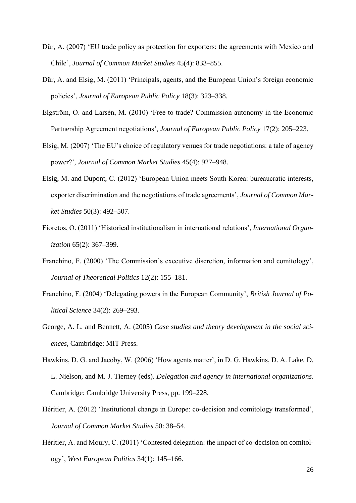- Dür, A. (2007) 'EU trade policy as protection for exporters: the agreements with Mexico and Chile', *Journal of Common Market Studies* 45(4): 833–855.
- Dür, A. and Elsig, M. (2011) 'Principals, agents, and the European Union's foreign economic policies', *Journal of European Public Policy* 18(3): 323–338.
- Elgström, O. and Larsén, M. (2010) 'Free to trade? Commission autonomy in the Economic Partnership Agreement negotiations', *Journal of European Public Policy* 17(2): 205–223.
- Elsig, M. (2007) 'The EU's choice of regulatory venues for trade negotiations: a tale of agency power?', *Journal of Common Market Studies* 45(4): 927–948.
- Elsig, M. and Dupont, C. (2012) 'European Union meets South Korea: bureaucratic interests, exporter discrimination and the negotiations of trade agreements', *Journal of Common Market Studies* 50(3): 492–507.
- Fioretos, O. (2011) 'Historical institutionalism in international relations', *International Organization* 65(2): 367–399.
- Franchino, F. (2000) 'The Commission's executive discretion, information and comitology', *Journal of Theoretical Politics* 12(2): 155–181.
- Franchino, F. (2004) 'Delegating powers in the European Community', *British Journal of Political Science* 34(2): 269–293.
- George, A. L. and Bennett, A. (2005) *Case studies and theory development in the social sciences*, Cambridge: MIT Press.
- Hawkins, D. G. and Jacoby, W. (2006) 'How agents matter', in D. G. Hawkins, D. A. Lake, D. L. Nielson, and M. J. Tierney (eds). *Delegation and agency in international organizations*. Cambridge: Cambridge University Press, pp. 199–228.
- Héritier, A. (2012) 'Institutional change in Europe: co-decision and comitology transformed', *Journal of Common Market Studies* 50: 38–54.
- Héritier, A. and Moury, C. (2011) 'Contested delegation: the impact of co-decision on comitology', *West European Politics* 34(1): 145–166.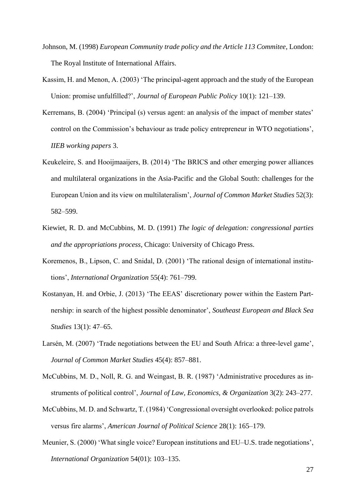- Johnson, M. (1998) *European Community trade policy and the Article 113 Commitee*, London: The Royal Institute of International Affairs.
- Kassim, H. and Menon, A. (2003) 'The principal-agent approach and the study of the European Union: promise unfulfilled?', *Journal of European Public Policy* 10(1): 121–139.
- Kerremans, B. (2004) 'Principal (s) versus agent: an analysis of the impact of member states' control on the Commission's behaviour as trade policy entrepreneur in WTO negotiations', *IIEB working papers* 3.
- Keukeleire, S. and Hooijmaaijers, B. (2014) 'The BRICS and other emerging power alliances and multilateral organizations in the Asia-Pacific and the Global South: challenges for the European Union and its view on multilateralism', *Journal of Common Market Studies* 52(3): 582–599.
- Kiewiet, R. D. and McCubbins, M. D. (1991) *The logic of delegation: congressional parties and the appropriations process*, Chicago: University of Chicago Press.
- Koremenos, B., Lipson, C. and Snidal, D. (2001) 'The rational design of international institutions', *International Organization* 55(4): 761–799.
- Kostanyan, H. and Orbie, J. (2013) 'The EEAS' discretionary power within the Eastern Partnership: in search of the highest possible denominator', *Southeast European and Black Sea Studies* 13(1): 47–65.
- Larsén, M. (2007) 'Trade negotiations between the EU and South Africa: a three-level game', *Journal of Common Market Studies* 45(4): 857–881.
- McCubbins, M. D., Noll, R. G. and Weingast, B. R. (1987) 'Administrative procedures as instruments of political control', *Journal of Law, Economics, & Organization* 3(2): 243–277.
- McCubbins, M. D. and Schwartz, T. (1984) 'Congressional oversight overlooked: police patrols versus fire alarms', *American Journal of Political Science* 28(1): 165–179.
- Meunier, S. (2000) 'What single voice? European institutions and EU–U.S. trade negotiations', *International Organization* 54(01): 103–135.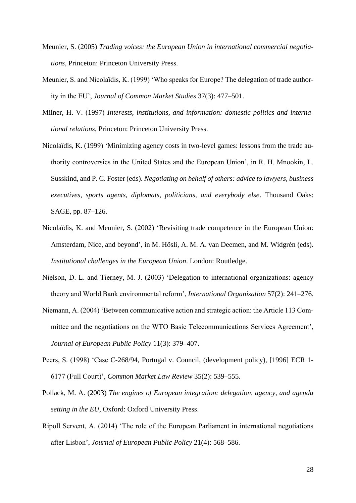- Meunier, S. (2005) *Trading voices: the European Union in international commercial negotiations*, Princeton: Princeton University Press.
- Meunier, S. and Nicolaïdis, K. (1999) 'Who speaks for Europe? The delegation of trade authority in the EU', *Journal of Common Market Studies* 37(3): 477–501.
- Milner, H. V. (1997) *Interests, institutions, and information: domestic politics and international relations*, Princeton: Princeton University Press.
- Nicolaïdis, K. (1999) 'Minimizing agency costs in two-level games: lessons from the trade authority controversies in the United States and the European Union', in R. H. Mnookin, L. Susskind, and P. C. Foster (eds). *Negotiating on behalf of others: advice to lawyers, business executives, sports agents, diplomats, politicians, and everybody else*. Thousand Oaks: SAGE, pp. 87–126.
- Nicolaïdis, K. and Meunier, S. (2002) 'Revisiting trade competence in the European Union: Amsterdam, Nice, and beyond', in M. Hösli, A. M. A. van Deemen, and M. Widgrén (eds). *Institutional challenges in the European Union*. London: Routledge.
- Nielson, D. L. and Tierney, M. J. (2003) 'Delegation to international organizations: agency theory and World Bank environmental reform', *International Organization* 57(2): 241–276.
- Niemann, A. (2004) 'Between communicative action and strategic action: the Article 113 Committee and the negotiations on the WTO Basic Telecommunications Services Agreement', *Journal of European Public Policy* 11(3): 379–407.
- Peers, S. (1998) 'Case C-268/94, Portugal v. Council, (development policy), [1996] ECR 1- 6177 (Full Court)', *Common Market Law Review* 35(2): 539–555.
- Pollack, M. A. (2003) *The engines of European integration: delegation, agency, and agenda setting in the EU*, Oxford: Oxford University Press.
- Ripoll Servent, A. (2014) 'The role of the European Parliament in international negotiations after Lisbon', *Journal of European Public Policy* 21(4): 568–586.